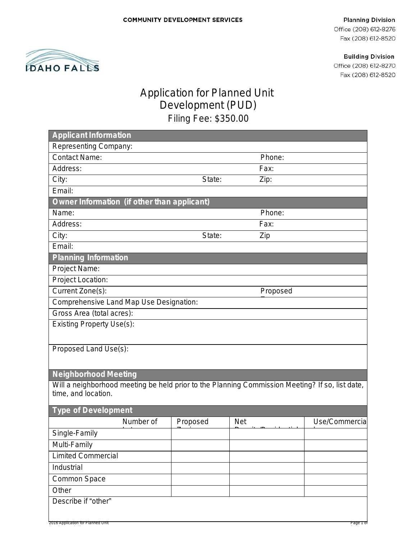#### **Planning Division**

Office (208) 612-8276 Fax (208) 612-8520

**Building Division** 

Office (208) 612-8270 Fax (208) 612-8520



# Application for Planned Unit Development (PUD) Filing Fee: \$350.00

| <b>Applicant Information</b>                                                                    |          |            |                |
|-------------------------------------------------------------------------------------------------|----------|------------|----------------|
| Representing Company:                                                                           |          |            |                |
| <b>Contact Name:</b>                                                                            |          | Phone:     |                |
| Address:                                                                                        |          | Fax:       |                |
| City:                                                                                           | State:   | Zip:       |                |
| Email:                                                                                          |          |            |                |
| Owner Information (if other than applicant)                                                     |          |            |                |
| Name:                                                                                           |          | Phone:     |                |
| Address:                                                                                        |          | Fax:       |                |
| City:                                                                                           | State:   | Zip        |                |
| Email:                                                                                          |          |            |                |
| <b>Planning Information</b>                                                                     |          |            |                |
| Project Name:                                                                                   |          |            |                |
| Project Location:                                                                               |          |            |                |
| Current Zone(s):                                                                                |          | Proposed   |                |
| Comprehensive Land Map Use Designation:                                                         |          |            |                |
| Gross Area (total acres):                                                                       |          |            |                |
| <b>Existing Property Use(s):</b>                                                                |          |            |                |
|                                                                                                 |          |            |                |
| Proposed Land Use(s):                                                                           |          |            |                |
|                                                                                                 |          |            |                |
| <b>Neighborhood Meeting</b>                                                                     |          |            |                |
| Will a neighborhood meeting be held prior to the Planning Commission Meeting? If so, list date, |          |            |                |
| time, and location.                                                                             |          |            |                |
|                                                                                                 |          |            |                |
| <b>Type of Development</b>                                                                      |          |            |                |
| Number of                                                                                       | Proposed | <b>Net</b> | Use/Commercial |
| Single-Family                                                                                   |          |            |                |
| Multi-Family                                                                                    |          |            |                |
| <b>Limited Commercial</b>                                                                       |          |            |                |
| Industrial                                                                                      |          |            |                |
| Common Space                                                                                    |          |            |                |
| Other                                                                                           |          |            |                |
| Describe if "other"                                                                             |          |            |                |
|                                                                                                 |          |            |                |
| 2016 Application for Planned Unit                                                               |          |            | Page 1 of      |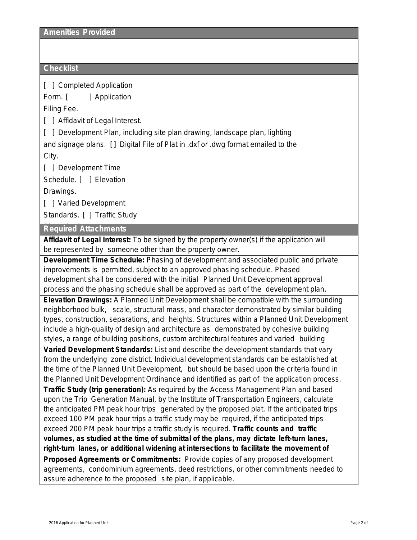#### **Checklist**

[ ] Completed Application

Form. [ ] Application

Filing Fee.

[ ] Affidavit of Legal Interest.

[ ] Development Plan, including site plan drawing, landscape plan, lighting and signage plans. [ ] Digital File of Plat in .dxf or .dwg format emailed to the City.

[ ] Development Time

Schedule. [ ] Elevation

Drawings.

[ ] Varied Development

Standards. [ ] Traffic Study

#### $\overline{\text{Required}}$  Attachments

**Affidavit of Legal Interest:** To be signed by the property owner(s) if the application will be represented by someone other than the property owner.

**Development Time Schedule:** Phasing of development and associated public and private improvements is permitted, subject to an approved phasing schedule. Phased development shall be considered with the initial Planned Unit Development approval process and the phasing schedule shall be approved as part of the development plan.

**Elevation Drawings:** A Planned Unit Development shall be compatible with the surrounding neighborhood bulk, scale, structural mass, and character demonstrated by similar building types, construction, separations, and heights. Structures within a Planned Unit Development include a high-quality of design and architecture as demonstrated by cohesive building styles, a range of building positions, custom architectural features and varied building

**Varied Development Standards:** List and describe the development standards that vary from the underlying zone district. Individual development standards can be established at the time of the Planned Unit Development, but should be based upon the criteria found in the Planned Unit Development Ordinance and identified as part of the application process.

**Traffic Study (trip generation):** As required by the *Access Management Plan* and based upon the *Trip Generation Manual*, by the Institute of Transportation Engineers, calculate the anticipated PM peak hour trips generated by the proposed plat. If the anticipated trips exceed 100 PM peak hour trips a traffic study may be required, if the anticipated trips exceed 200 PM peak hour trips a traffic study is required. **Traffic counts and traffic volumes, as studied at the time of submittal of the plans, may dictate left-turn lanes, right-turn lanes, or additional widening at intersections to facilitate the movement of**

**Proposed Agreements or Commitments:** Provide copies of any proposed development agreements, condominium agreements, deed restrictions, or other commitments needed to assure adherence to the proposed site plan, if applicable.

Development PUD

5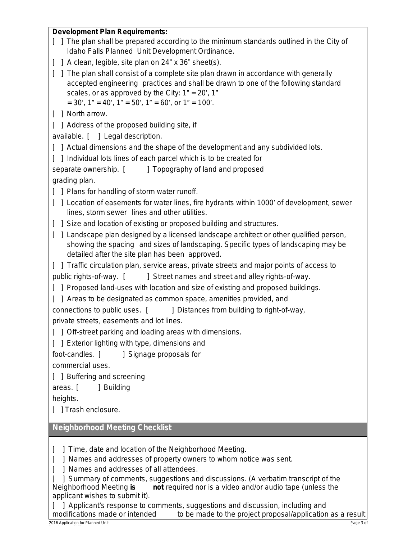## **Development Plan Requirements:** [ ] The plan shall be prepared according to the minimum standards outlined in the City of Idaho Falls Planned Unit Development Ordinance. [ ] A clean, legible, site plan on 24" x 36" sheet(s). [ ] The plan shall consist of a complete site plan drawn in accordance with generally accepted engineering practices and shall be drawn to one of the following standard scales, or as approved by the City:  $1" = 20'$ ,  $1"$  $= 30'$ ,  $1" = 40'$ ,  $1" = 50'$ ,  $1" = 60'$ , or  $1" = 100'$ . [ ] North arrow. [ ] Address of the proposed building site, if available. [ ] Legal description. [ ] Actual dimensions and the shape of the development and any subdivided lots. [ ] Individual lots lines of each parcel which is to be created for separate ownership. [ ] Topography of land and proposed grading plan. [ ] Plans for handling of storm water runoff. [ ] Location of easements for water lines, fire hydrants within 1000' of development, sewer lines, storm sewer lines and other utilities. [ ] Size and location of existing or proposed building and structures. [ ] Landscape plan designed by a licensed landscape architect or other qualified person, showing the spacing and sizes of landscaping. Specific types of landscaping may be detailed after the site plan has been approved. [ ] Traffic circulation plan, service areas, private streets and major points of access to public rights-of-way. [ ] Street names and street and alley rights-of-way. [ ] Proposed land-uses with location and size of existing and proposed buildings. [ ] Areas to be designated as common space, amenities provided, and connections to public uses. [ ] Distances from building to right-of-way, private streets, easements and lot lines. [ ] Off-street parking and loading areas with dimensions. [ ] Exterior lighting with type, dimensions and foot-candles. [ ] Signage proposals for commercial uses. [ ] Buffering and screening areas. [ ] Building heights. [ ] Trash enclosure. **Neighborhood Meeting Checklist** [ ] Time, date and location of the Neighborhood Meeting. [ ] Names and addresses of property owners to whom notice was sent. [ ] Names and addresses of all attendees.

[ ] Summary of comments, suggestions and discussions. (A verbatim transcript of the Neighborhood Meeting **is not** required nor is a video and/or audio tape (unless the applicant wishes to submit it).

[ ] Applicant's response to comments, suggestions and discussion, including and modifications made or intended to be made to the project proposal/application to be made to the project proposal/application as a result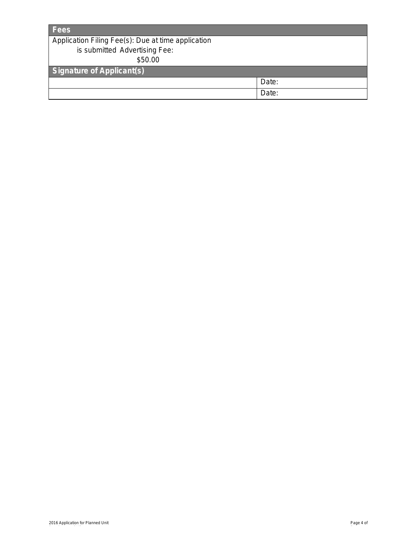| <b>Fees</b>                                        |       |  |
|----------------------------------------------------|-------|--|
| Application Filing Fee(s): Due at time application |       |  |
| is submitted Advertising Fee:                      |       |  |
| \$50.00                                            |       |  |
| <b>Signature of Applicant(s)</b>                   |       |  |
|                                                    | Date: |  |
|                                                    | Date: |  |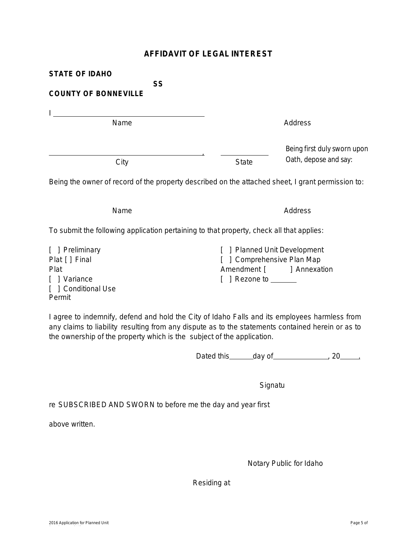### **AFFIDAVIT OF LEGAL INTEREST**

| <b>STATE OF IDAHO</b>                                                                                                                                                                                                         |                                                                                                              |  |
|-------------------------------------------------------------------------------------------------------------------------------------------------------------------------------------------------------------------------------|--------------------------------------------------------------------------------------------------------------|--|
| <b>SS</b><br><b>COUNTY OF BONNEVILLE</b>                                                                                                                                                                                      |                                                                                                              |  |
| the control of the control of the control of the control of the control of the control of the control of the control of the control of the control of the control of the control of the control of the control of the control |                                                                                                              |  |
| Name                                                                                                                                                                                                                          | Address                                                                                                      |  |
| City                                                                                                                                                                                                                          | Being first duly sworn upon<br>Oath, depose and say:<br><b>State</b>                                         |  |
|                                                                                                                                                                                                                               | Being the owner of record of the property described on the attached sheet, I grant permission to:            |  |
| Name                                                                                                                                                                                                                          | Address                                                                                                      |  |
| To submit the following application pertaining to that property, check all that applies:                                                                                                                                      |                                                                                                              |  |
| [ ] Preliminary<br>Plat [ ] Final<br>Plat<br>[ ] Variance<br>[ ] Conditional Use<br>Permit                                                                                                                                    | <b>Planned Unit Development</b><br>] Comprehensive Plan Map<br>Amendment [ ] Annexation<br>Rezone to _______ |  |

I agree to indemnify, defend and hold the City of Idaho Falls and its employees harmless from any claims to liability resulting from any dispute as to the statements contained herein or as to the ownership of the property which is the subject of the application.

Dated this  $\qquad \qquad$  day of  $\qquad \qquad$  20  $\qquad$ 

**Signatu** 

re SUBSCRIBED AND SWORN to before me the day and year first

above written.

Notary Public for Idaho

Residing at

5